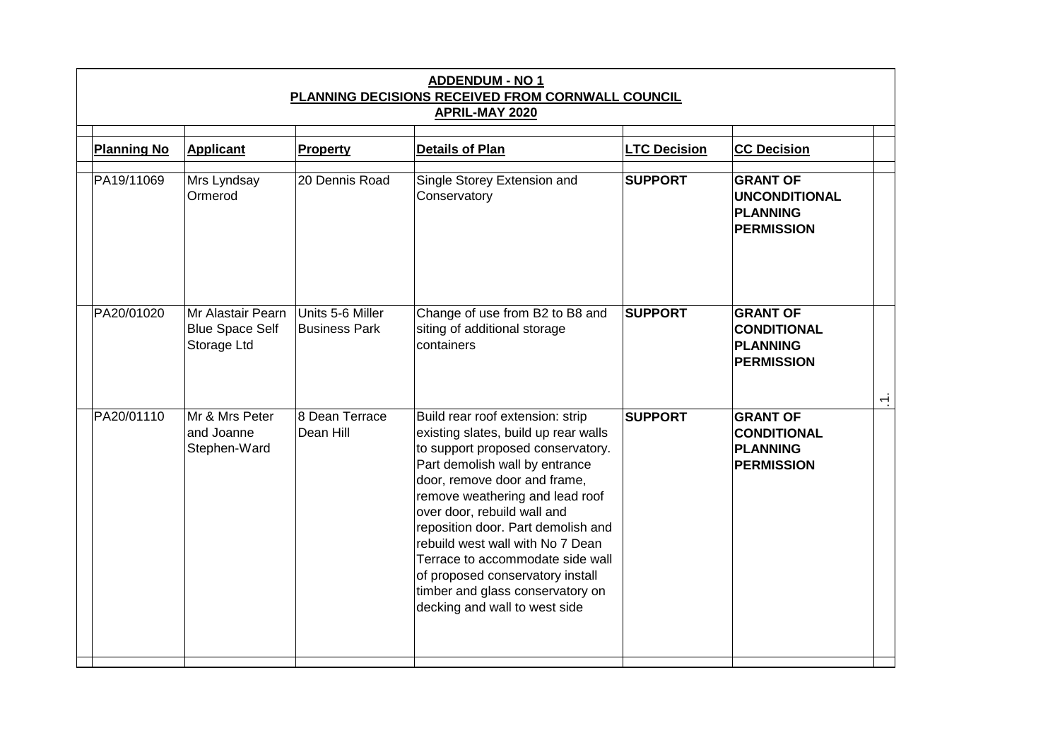| <b>ADDENDUM - NO 1</b><br>PLANNING DECISIONS RECEIVED FROM CORNWALL COUNCIL<br>APRIL-MAY 2020 |                                                            |                                          |                                                                                                                                                                                                                                                                                                                                                                                                                                                                          |                     |                                                                                 |                |  |  |  |  |
|-----------------------------------------------------------------------------------------------|------------------------------------------------------------|------------------------------------------|--------------------------------------------------------------------------------------------------------------------------------------------------------------------------------------------------------------------------------------------------------------------------------------------------------------------------------------------------------------------------------------------------------------------------------------------------------------------------|---------------------|---------------------------------------------------------------------------------|----------------|--|--|--|--|
| <b>Planning No</b>                                                                            | <b>Applicant</b>                                           | <b>Property</b>                          | <b>Details of Plan</b>                                                                                                                                                                                                                                                                                                                                                                                                                                                   | <b>LTC Decision</b> | <b>CC Decision</b>                                                              |                |  |  |  |  |
| PA19/11069                                                                                    | Mrs Lyndsay<br>Ormerod                                     | 20 Dennis Road                           | Single Storey Extension and<br>Conservatory                                                                                                                                                                                                                                                                                                                                                                                                                              | <b>SUPPORT</b>      | <b>GRANT OF</b><br><b>UNCONDITIONAL</b><br><b>PLANNING</b><br><b>PERMISSION</b> |                |  |  |  |  |
| PA20/01020                                                                                    | Mr Alastair Pearn<br><b>Blue Space Self</b><br>Storage Ltd | Units 5-6 Miller<br><b>Business Park</b> | Change of use from B2 to B8 and<br>siting of additional storage<br>containers                                                                                                                                                                                                                                                                                                                                                                                            | <b>SUPPORT</b>      | <b>GRANT OF</b><br><b>CONDITIONAL</b><br><b>PLANNING</b><br><b>PERMISSION</b>   |                |  |  |  |  |
| PA20/01110                                                                                    | Mr & Mrs Peter<br>and Joanne<br>Stephen-Ward               | 8 Dean Terrace<br>Dean Hill              | Build rear roof extension: strip<br>existing slates, build up rear walls<br>to support proposed conservatory.<br>Part demolish wall by entrance<br>door, remove door and frame,<br>remove weathering and lead roof<br>over door, rebuild wall and<br>reposition door. Part demolish and<br>rebuild west wall with No 7 Dean<br>Terrace to accommodate side wall<br>of proposed conservatory install<br>timber and glass conservatory on<br>decking and wall to west side | <b>SUPPORT</b>      | <b>GRANT OF</b><br><b>CONDITIONAL</b><br><b>PLANNING</b><br><b>PERMISSION</b>   | $\overline{ }$ |  |  |  |  |